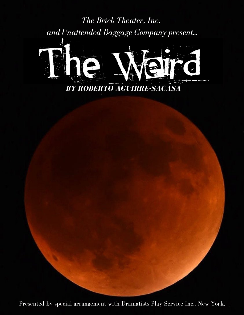*The Brick Theater, Inc. and Unattended Baggage Company present...*



Presented by special arrangement with Dramatists Play Service Inc., New York.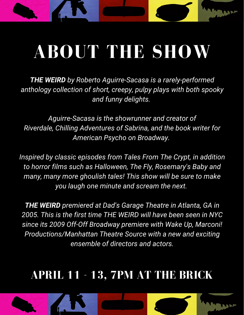# **ABOUT THE SHOW**

**UNITE** 

*THE WEIRD by Roberto Aguirre-Sacasa is a rarely-performed anthology collection of short, creepy, pulpy plays with both spooky and funny delights.*

*Aguirre-Sacasa is the showrunner and creator of Riverdale, Chilling Adventures of Sabrina, and the book writer for American Psycho on Broadway.*

*Inspired by classic episodes from Tales From The Crypt, in addition to horror films such as Halloween, The Fly, Rosemary's Baby and many, many more ghoulish tales! This show will be sure to make you laugh one minute and scream the next.*

*THE WEIRD premiered at Dad's Garage Theatre in Atlanta, GA in 2005. This is the first time THE WEIRD will have been seen in NYC since its 2009 Off-Off Broadway premiere with Wake Up, Marconi! Productions/Manhattan Theatre Source with a new and exciting ensemble of directors and actors.*

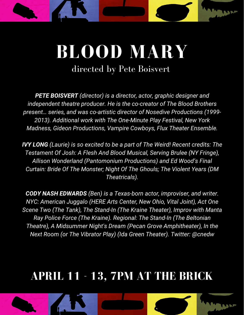# ULA

## **BLOOD MARY** directed by Pete Boisvert

*PETE BOISVERT (director) is a director, actor, graphic designer and independent theatre producer. He is the co-creator of The Blood Brothers present… series, and was co-artistic director of Nosedive Productions (1999- 2013). Additional work with The One-Minute Play Festival, New York Madness, Gideon Productions, Vampire Cowboys, Flux Theater Ensemble.*

*IVY LONG (Laurie) is so excited to be a part of The Weird! Recent credits: The Testament Of Josh: A Flesh And Blood Musical, Serving Brulee (NY Fringe), Allison Wonderland (Pantomonium Productions) and Ed Wood's Final Curtain: Bride Of The Monster; Night Of The Ghouls; The Violent Years (DM Theatricals).*

*CODY NASH EDWARDS (Ben) is a Texas-born actor, improviser, and writer. NYC: American Juggalo (HERE Arts Center, New Ohio, Vital Joint), Act One Scene Two (The Tank), The Stand-In (The Kraine Theater), Improv with Manta Ray Police Force (The Kraine). Regional: The Stand-In (The Beltonian Theatre), A Midsummer Night's Dream (Pecan Grove Amphitheater), In the Next Room (or The Vibrator Play) (Ida Green Theater). Twitter: @cnedw*

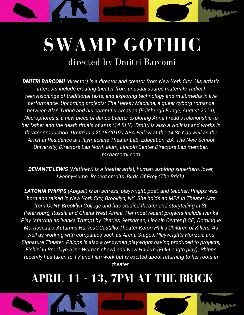## **SWAMP GOTHIC** directed by Dmitri Barcomi

WAR

*DMITRI BARCOMI (director) is a director and creator from New York City. His artistic interests include creating theater from unusual source materials, radical reenvisionings of traditional texts, and exploring technology and multimedia in live performance. Upcoming projects: The Heresy Machine, a queer cyborg romance between Alan Turing and his computer creation (Edinburgh Fringe, August 2019), Necrophoresis, a new piece of dance theater exploring Anna Freud's relationship to her father and the death rituals of ants (14 St Y). Dmitri is also a violinist and works in theater production. Dmitri is a 2018-2019 LABA Fellow at the 14 St Y as well as the Artist-in-Residence at Playmachine Theater Lab. Education: BA, The New School University, Directors Lab North alum, Lincoln Center Directors Lab member. mxbarcomi.com*

*DEVANTE LEWIS (Matthew) is a theater artist, human, aspiring superhero, lover, twenny-sumn. Recent credits: Birds Of Prey (The Brick).*

*LATONIA PHIPPS (Abigail) is an actress, playwright, poet, and teacher. Phipps was born and raised in New York City, Brooklyn, NY. She holds an MFA in Theater Arts from CUNY Brooklyn College and has studied theater and storytelling in St. Petersburg, Russia and Ghana West Africa. Her most recent projects include Ivanka Play (starring as Ivanka Trump) by Charles Gershman, Lincoln Center (LCE) Dominque Morrisseau's, Autumns Harvest, Castillio Theater Katori Hall's Children of Killers; As well as working with companies such as Arena Stages, Playwrights Horizon, and Signature Theater. Phipps is also a renowned playwright having produced to projects, Fishin' In Brooklyn (One Woman show) and Now Harlem (Full-Length play). Phipps recently has taken to TV and Film work but is excited about returning to her roots in theater.*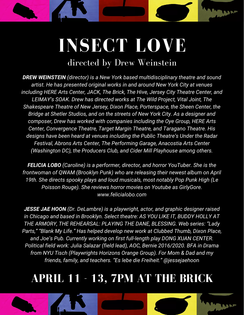## **INSECT LOVE** directed by Drew Weinstein

WAN

*DREW WEINSTEIN (director) is a New York based multidisciplinary theatre and sound artist. He has presented original works in and around New York City at venues including HERE Arts Center, JACK, The Brick, The Hive, Jersey City Theatre Center, and LEIMAY's SOAK. Drew has directed works at The Wild Project, Vital Joint, The Shakespeare Theatre of New Jersey, Dixon Place, Porterspace, the Sheen Center, the Bridge at Shetler Studios, and on the streets of New York City. As a designer and composer, Drew has worked with companies including the Oye Group, HERE Arts Center, Convergence Theatre, Target Margin Theatre, and Taragano Theatre. His designs have been heard at venues including the Public Theatre's Under the Radar Festival, Abrons Arts Center, The Performing Garage, Anacostia Arts Center (Washington DC), the Producers Club, and Cider Mill Playhouse among others.*

*FELICIA LOBO (Caroline) is a performer, director, and horror YouTuber. She is the frontwoman of QWAM (Brooklyn Punk) who are releasing their newest album on April 19th. She directs spooky plays and loud musicals, most notably Pop Punk High (Le Poisson Rouge). She reviews horror movies on Youtube as GirlyGore. www.felicialobo.com*

*JESSE JAE HOON (Dr. DeLambre) is a playwright, actor, and graphic designer raised in Chicago and based in Brooklyn. Select theatre: AS YOU LIKE IT, BUDDY HOLLY AT THE ARMORY, THE REHEARSAL: PLAYING THE DANE, BLESSING. Web series: "Lady Parts," "Blank My Life." Has helped develop new work at Clubbed Thumb, Dixon Place, and Joe's Pub. Currently working on first full-length play DONG XUAN CENTER. Political field work: Julia Salazar (field lead), AOC, Bernie 2016/2020. BFA in Drama from NYU Tisch (Playwrights Horizons Orange Group). For Mom & Dad and my friends, family, and teachers. "Es lebe die Freiheit." @jessejaehoo*n

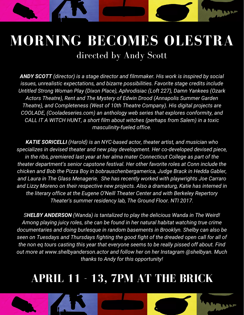### **MORNING BECOMES OLESTRA** directed by Andy Scott

WA

*ANDY SCOTT (director) is a stage director and filmmaker. His work is inspired by social issues, unrealistic expectations, and bizarre possibilities. Favorite stage credits include Untitled Strong Woman Play (Dixon Place), Aphrodisiac (Loft 227), Damn Yankees (Ozark Actors Theatre), Rent and The Mystery of Edwin Drood (Annapolis Summer Garden Theatre), and Completeness (West of 10th Theatre Company). His digital projects are COOLADE, (Cooladeseries.com) an anthology web series that explores conformity, and CALL IT A WITCH HUNT, a short film about witches (perhaps from Salem) in a toxic masculinity-fueled office.*

*KATIE SORICELLI (Harold) is an NYC-based actor, theater artist, and musician who specializes in devised theater and new play development. Her co-developed devised piece, in the ribs, premiered last year at her alma mater Connecticut College as part of the theater department's senior capstone festival. Her other favorite roles at Conn include the chicken and Bob the Pizza Boy in bobrauschenbergamerica, Judge Brack in Hedda Gabler, and Laura in The Glass Menagerie. She has recently worked with playwrights Joe Carraro and Lizzy Moreno on their respective new projects. Also a dramaturg, Katie has interned in the literary office at the Eugene O'Neill Theater Center and with Berkeley Repertory Theater's summer residency lab, The Ground Floor. NTI 2017.*

*SHELBY ANDERSON (Wanda) is tantalized to play the delicious Wanda in The Weird! Among playing juicy roles, she can be found in her natural habitat watching true crime documentaries and doing burlesque in random basements in Brooklyn. Shelby can also be seen on Tuesdays and Thursdays fighting the good fight of the dreaded open call for all of the non eq tours casting this year that everyone seems to be really pissed off about. Find out more at www.shelbyanderson.actor and follow her on her Instagram @shelbyan. Much thanks to Andy for this opportunity!*

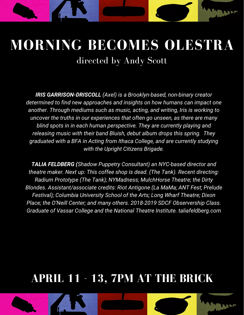## **MORNING BECOMES OLESTRA** directed by Andy Scott

**LON** 

*IRIS GARRISON-DRISCOLL (Axel) is a Brooklyn-based, non-binary creator determined to find new approaches and insights on how humans can impact one another. Through mediums such as music, acting, and writing, Iris is working to uncover the truths in our experiences that often go unseen, as there are many blind spots in in each human perspective. They are currently playing and releasing music with their band Bluish, debut album drops this spring. They graduated with a BFA in Acting from Ithaca College, and are currently studying with the Upright Citizens Brigade.*

*TALIA FELDBERG (Shadow Puppetry Consultant) an NYC-based director and theatre maker. Next up: This coffee shop is dead. (The Tank). Recent directing: Radium Prototype (The Tank); NYMadness; MulchHorse Theatre; the Dirty Blondes. Assistant/associate credits: Riot Antigone (La MaMa; ANT Fest; Prelude Festival); Columbia University School of the Arts; Long Wharf Theatre; Dixon Place; the O'Neill Center; and many others. 2018-2019 SDCF Observership Class. Graduate of Vassar College and the National Theatre Institute. taliafeldberg.com*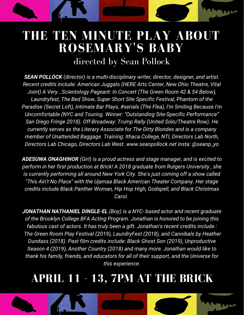## **THE TEN MINUTE PLAY ABOUT ROSEMARY'S BABY**

WM

#### directed by Sean Pollock

*SEAN POLLOCK (director) is a multi-disciplinary writer, director, designer, and artist. Recent credits include: American Juggalo (HERE Arts Center, New Ohio Theatre, Vital Joint) A Very...Scientology Pageant: In Concert (The Green Room 42 & 54 Below), Laundryfest, The Bed Show, Super Short Site Specific Festival, Phantom of the Paradise (Secret Loft), Intimate Bar Plays, #serials (The Flea), I'm Smiling Because I'm Uncomfortable (NYC and Touring. Winner: "Outstanding Site-Specific Performance" San Diego Fringe 2018). Off-Broadway: Trump Rally (United Solo/Theatre Row). He currently serves as the Literary Associate for The Dirty Blondes and is a company member of Unattended Baggage. Training: Ithaca College, NTI, Directors Lab North, Directors Lab Chicago, Directors Lab West. www.seanpollock.net insta: @seanp\_yo*

*ADESUWA ONAGHINOR (Girl) is a proud actress and stage manager, and is excited to perform in her first production at Brick! A 2018 graduate from Rutgers University , she is currently performing all around New York City. She's just coming off a show called "This Ain't No Place" with the Ujamaa Black American Theater Company. Her stage credits include Black Panther Woman, Hip Hop High, Godspell, and Black Christmas Carol.*

*JONATHAN NATHANIEL DINGLE-EL (Boy) is a NYC- based actor and recent graduate of the Brooklyn College BFA Acting Program. Jonathan is honored to be joining this fabulous cast of actors. It has truly been a gift. Jonathan's recent credits include : The Green Room Play Festival (2019), LaundryFest (2018), and Cannibals by Heather Dundass (2018). Past film credits include: Black Ghost Son (2019), Unproductive Season 4 (2019), Another Country (2018) and many more. Jonathan would like to thank his family, friends, and educators for all of their support, and the Universe for this experience.*

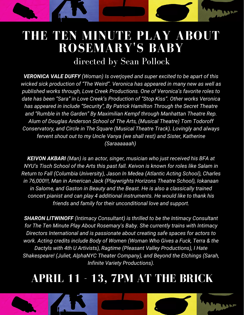## **THE TEN MINUTE PLAY ABOUT ROSEMARY'S BABY**

WN

#### directed by Sean Pollock

*VERONICA VALE DUFFY (Woman) Is overjoyed and super excited to be apart of this wicked sick production of "The Weird". Veronica has appeared in many new as well as published works through, Love Creek Productions. One of Veronica's favorite roles to date has been "Sara" in Love Creek's Production of "Stop Kiss". Other works Veronica has appeared in include "Security", By Patrick Hamilton Through the Secret Theatre and "Rumble in the Garden" By Maximilian Kempf through Manhattan Theatre Rep. Alum of Douglas Anderson School of The Arts, (Musical Theatre) Tom Todoroff Conservatory, and Circle in The Square (Musical Theatre Track). Lovingly and always fervent shout out to my Uncle Vanya (we shall rest) and Sister, Katherine (Saraaaaaah)*

*KEIVON AKBARI (Man) is an actor, singer, musician who just received his BFA at NYU's Tisch School of the Arts this past fall. Keivon is known for roles like Salam in Return to Fall (Columbia University), Jason In Medea (Atlantic Acting School), Charles in 76,000!!!, Man in American Jack (Playwrights Horizons Theatre School), Iokanaan in Salome, and Gaston in Beauty and the Beast. He is also a classically trained concert pianist and can play 4 additional instruments. He would like to thank his friends and family for their unconditional love and support.*

*SHARON LITWINOFF (Intimacy Consultant) is thrilled to be the Intimacy Consultant for The Ten Minute Play About Rosemary's Baby. She currently trains with Intimacy Directors International and is passionate about creating safe spaces for actors to work. Acting credits include Body of Women (Woman Who Gives a Fuck, Terra & the Dactyls with 4th U Artivists), Ragtime (Pleasant Valley Productions), I Hate Shakespeare! (Juliet, AlphaNYC Theater Company), and Beyond the Etchings (Sarah, Infinite Variety Productions).*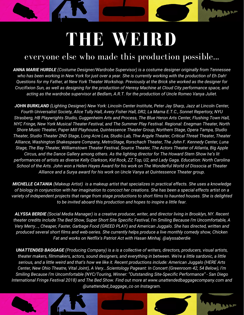# **THE WEIRD**

WAR

#### everyone else who made this production possible...

*ANNA MARIE HURDLE (Costume Designer/Wardrobe Supervisor) is a costume designer originally from Tennessee* who has been working in New York for just over a year. She is currently working with the production of Eh Dah! Questions for my Father, at New York Theater Workshop. Previously at the Brick she worked as the designer for Crucifixion Sun, as well as designing for the production of Heresy Machine at Cloud City performance space, and *acting as the wardrobe supervisor at Bedlam, A.R.T. for the production of Uncle Romeo Vanya Juliet.*

*JOHN BURKLAND (Lighting Designer) New York: Lincoln Center Institute, Peter Jay Sharp, Jazz at Lincoln Center, Fourth Universalist Society, Alice Tully Hall, Avery Fisher Hall, DR2, La Mama E.T.C., Sonnet Repertory, NYU Strasberg, HB Playwrights Studio, Guggenheim Arts and Process, The Blue Heron Arts Center, Flushing Town Hall, NYC Fringe, New York Musical Theater Festival, and The Summer Play Festival. Regional: Enegman Theater, North Shore Music Theater, Paper Mill Playhouse, Quintessence Theater Group, Northern Stage, Opera Tampa, Studio* Theater, Studio Theater 2ND Stage, Long Acre Lea, Studio Lab, Thw Argyle Theater, Critical Threat Theater, Theater *Alliance, Washington Shakespeare Company, MetroStage, Rorschach Theater, The John F. Kennedy Center, Luna Stage, The Bay Theater, Williamstown Theater Festival, Source Theater, The Actors Theater of Atlanta, Big Apple* Circus, and the Dance Gallery among others. As the lighting director for The Howard Stern Show he's lit performances of artists as diverse Kelly Clarkson, Kid Rock, ZZ Top, U2, and Lady Gaga. Education: North Carolina School of the Arts. John won a Helen Hayes Award for his work on The Wonderful World of Dissocia at Theater *Alliance and a Surya award for his work on Uncle Vanya at Quintessence Theater group.*

**MICHELLE CATANIA** (Makeup Artist) is a makeup artist that specializes in practical effects. She uses a knowledge of biology in conjunction with her imagination to concoct her creations. She has been a special effects artist on a variety of independent projects that range from stage productions to short films to haunted houses. She is delighted *to be invited aboard this production and hopes to inspire a little fear.*

ALYSSA BERDIE (Social Media Manager) is a creative producer, writer, and director living in Brooklyn, NY. Recent theater credits include The Bed Show, Super Short Site Specific Festival, I'm Smiling Because I'm Uncomfortable, A *Very Merry..., Cheaper, Faster, Garbage Food (GREED PLAY) and American Juggalo. She has directed, written and produced several short films and web-series. She currently helps produce a live monthly comedy show, Chicken Fat and works on Netflix's Patriot Act with Hasan Minhaj. @alyssaberdie*

*UNATTENDED BAGGAGE (Producing Company) is a is a collective of writers, directors, producers, visual artists,* theater makers, filmmakers, actors, sound designers, and everything in between. We're a little sardonic, a little serious, and a little weird and that's how we like it. Recent productions include: American Juggalo (HERE Arts *Center, New Ohio Theatre, Vital Joint), A Very...Scientology Pageant: In Concert (Greenroom 42, 54 Below), I'm Smiling Because I'm Uncomfortable (NYC/Touring, Winner: "Outstanding Site-Specific Performance" - San Diego International Fringe Festival 2018) and The Bed Show. Find out more at www.unattendedbaggagecompany.com and @unattended\_baggage\_co on Instagram.*